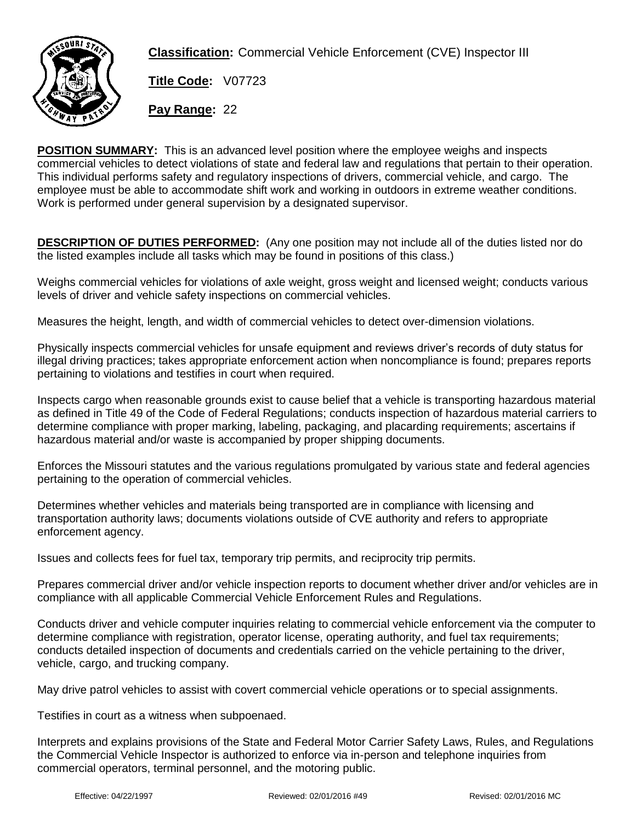

**Classification:** Commercial Vehicle Enforcement (CVE) Inspector III

**Title Code:** V07723

**Pay Range:** 22

**POSITION SUMMARY:** This is an advanced level position where the employee weighs and inspects commercial vehicles to detect violations of state and federal law and regulations that pertain to their operation. This individual performs safety and regulatory inspections of drivers, commercial vehicle, and cargo. The employee must be able to accommodate shift work and working in outdoors in extreme weather conditions. Work is performed under general supervision by a designated supervisor.

**DESCRIPTION OF DUTIES PERFORMED:** (Any one position may not include all of the duties listed nor do the listed examples include all tasks which may be found in positions of this class.)

Weighs commercial vehicles for violations of axle weight, gross weight and licensed weight; conducts various levels of driver and vehicle safety inspections on commercial vehicles.

Measures the height, length, and width of commercial vehicles to detect over-dimension violations.

Physically inspects commercial vehicles for unsafe equipment and reviews driver's records of duty status for illegal driving practices; takes appropriate enforcement action when noncompliance is found; prepares reports pertaining to violations and testifies in court when required.

Inspects cargo when reasonable grounds exist to cause belief that a vehicle is transporting hazardous material as defined in Title 49 of the Code of Federal Regulations; conducts inspection of hazardous material carriers to determine compliance with proper marking, labeling, packaging, and placarding requirements; ascertains if hazardous material and/or waste is accompanied by proper shipping documents.

Enforces the Missouri statutes and the various regulations promulgated by various state and federal agencies pertaining to the operation of commercial vehicles.

Determines whether vehicles and materials being transported are in compliance with licensing and transportation authority laws; documents violations outside of CVE authority and refers to appropriate enforcement agency.

Issues and collects fees for fuel tax, temporary trip permits, and reciprocity trip permits.

Prepares commercial driver and/or vehicle inspection reports to document whether driver and/or vehicles are in compliance with all applicable Commercial Vehicle Enforcement Rules and Regulations.

Conducts driver and vehicle computer inquiries relating to commercial vehicle enforcement via the computer to determine compliance with registration, operator license, operating authority, and fuel tax requirements; conducts detailed inspection of documents and credentials carried on the vehicle pertaining to the driver, vehicle, cargo, and trucking company.

May drive patrol vehicles to assist with covert commercial vehicle operations or to special assignments.

Testifies in court as a witness when subpoenaed.

Interprets and explains provisions of the State and Federal Motor Carrier Safety Laws, Rules, and Regulations the Commercial Vehicle Inspector is authorized to enforce via in-person and telephone inquiries from commercial operators, terminal personnel, and the motoring public.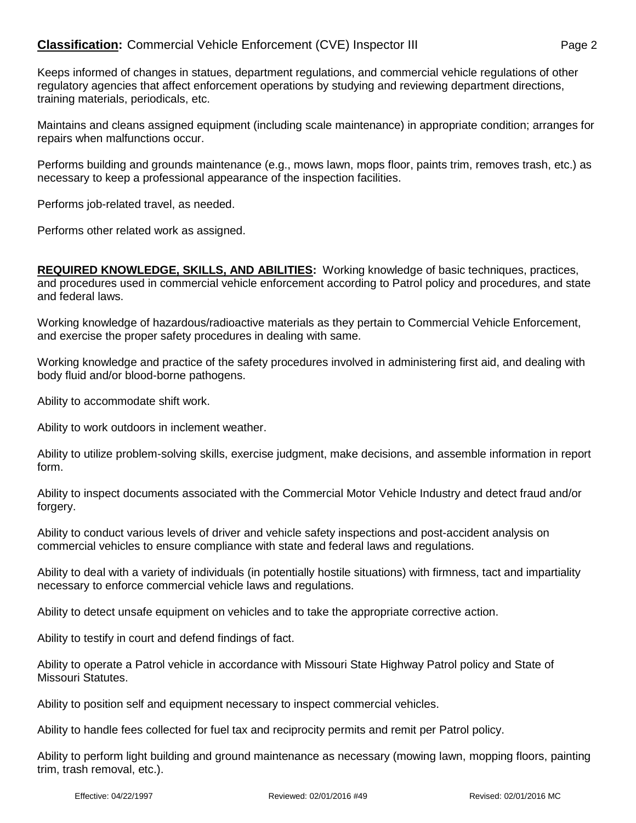Keeps informed of changes in statues, department regulations, and commercial vehicle regulations of other regulatory agencies that affect enforcement operations by studying and reviewing department directions, training materials, periodicals, etc.

Maintains and cleans assigned equipment (including scale maintenance) in appropriate condition; arranges for repairs when malfunctions occur.

Performs building and grounds maintenance (e.g., mows lawn, mops floor, paints trim, removes trash, etc.) as necessary to keep a professional appearance of the inspection facilities.

Performs job-related travel, as needed.

Performs other related work as assigned.

**REQUIRED KNOWLEDGE, SKILLS, AND ABILITIES:** Working knowledge of basic techniques, practices, and procedures used in commercial vehicle enforcement according to Patrol policy and procedures, and state and federal laws.

Working knowledge of hazardous/radioactive materials as they pertain to Commercial Vehicle Enforcement, and exercise the proper safety procedures in dealing with same.

Working knowledge and practice of the safety procedures involved in administering first aid, and dealing with body fluid and/or blood-borne pathogens.

Ability to accommodate shift work.

Ability to work outdoors in inclement weather.

Ability to utilize problem-solving skills, exercise judgment, make decisions, and assemble information in report form.

Ability to inspect documents associated with the Commercial Motor Vehicle Industry and detect fraud and/or forgery.

Ability to conduct various levels of driver and vehicle safety inspections and post-accident analysis on commercial vehicles to ensure compliance with state and federal laws and regulations.

Ability to deal with a variety of individuals (in potentially hostile situations) with firmness, tact and impartiality necessary to enforce commercial vehicle laws and regulations.

Ability to detect unsafe equipment on vehicles and to take the appropriate corrective action.

Ability to testify in court and defend findings of fact.

Ability to operate a Patrol vehicle in accordance with Missouri State Highway Patrol policy and State of Missouri Statutes.

Ability to position self and equipment necessary to inspect commercial vehicles.

Ability to handle fees collected for fuel tax and reciprocity permits and remit per Patrol policy.

Ability to perform light building and ground maintenance as necessary (mowing lawn, mopping floors, painting trim, trash removal, etc.).